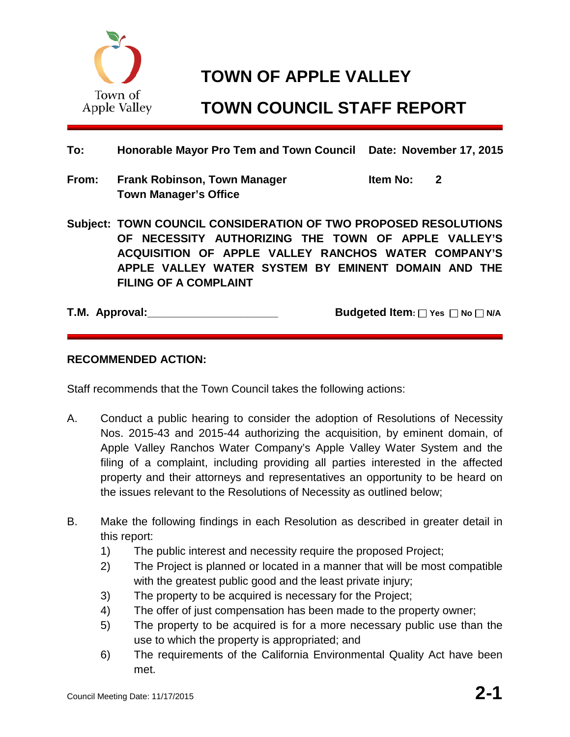

# **TOWN OF APPLE VALLEY**

# **TOWN COUNCIL STAFF REPORT**

## **To: Honorable Mayor Pro Tem and Town Council Date: November 17, 2015**

**From: Frank Robinson, Town Manager Item No: 2 Town Manager's Office**

**Subject: TOWN COUNCIL CONSIDERATION OF TWO PROPOSED RESOLUTIONS OF NECESSITY AUTHORIZING THE TOWN OF APPLE VALLEY'S ACQUISITION OF APPLE VALLEY RANCHOS WATER COMPANY'S APPLE VALLEY WATER SYSTEM BY EMINENT DOMAIN AND THE FILING OF A COMPLAINT**

**T.M.** Approval:  $\Box$  **Budgeted Item:** Yes  $\Box$  No  $\Box$  N/A

### **RECOMMENDED ACTION:**

Staff recommends that the Town Council takes the following actions:

- A. Conduct a public hearing to consider the adoption of Resolutions of Necessity Nos. 2015-43 and 2015-44 authorizing the acquisition, by eminent domain, of Apple Valley Ranchos Water Company's Apple Valley Water System and the filing of a complaint, including providing all parties interested in the affected property and their attorneys and representatives an opportunity to be heard on the issues relevant to the Resolutions of Necessity as outlined below;
- B. Make the following findings in each Resolution as described in greater detail in this report:
	- 1) The public interest and necessity require the proposed Project;
	- 2) The Project is planned or located in a manner that will be most compatible with the greatest public good and the least private injury;
	- 3) The property to be acquired is necessary for the Project;
	- 4) The offer of just compensation has been made to the property owner;
	- 5) The property to be acquired is for a more necessary public use than the use to which the property is appropriated; and
	- 6) The requirements of the California Environmental Quality Act have been met.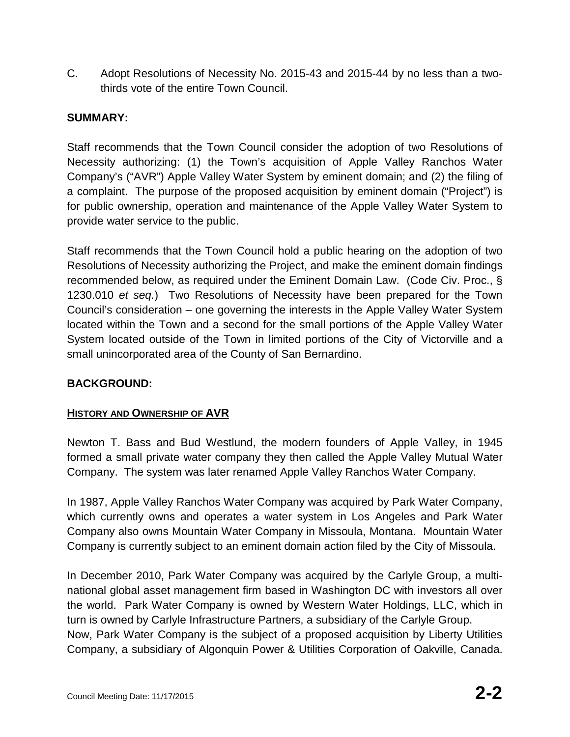C. Adopt Resolutions of Necessity No. 2015-43 and 2015-44 by no less than a twothirds vote of the entire Town Council.

## **SUMMARY:**

Staff recommends that the Town Council consider the adoption of two Resolutions of Necessity authorizing: (1) the Town's acquisition of Apple Valley Ranchos Water Company's ("AVR") Apple Valley Water System by eminent domain; and (2) the filing of a complaint. The purpose of the proposed acquisition by eminent domain ("Project") is for public ownership, operation and maintenance of the Apple Valley Water System to provide water service to the public.

Staff recommends that the Town Council hold a public hearing on the adoption of two Resolutions of Necessity authorizing the Project, and make the eminent domain findings recommended below, as required under the Eminent Domain Law. (Code Civ. Proc., § 1230.010 *et seq.*) Two Resolutions of Necessity have been prepared for the Town Council's consideration – one governing the interests in the Apple Valley Water System located within the Town and a second for the small portions of the Apple Valley Water System located outside of the Town in limited portions of the City of Victorville and a small unincorporated area of the County of San Bernardino.

### **BACKGROUND:**

### **HISTORY AND OWNERSHIP OF AVR**

Newton T. Bass and Bud Westlund, the modern founders of Apple Valley, in 1945 formed a small private water company they then called the Apple Valley Mutual Water Company. The system was later renamed Apple Valley Ranchos Water Company.

In 1987, Apple Valley Ranchos Water Company was acquired by Park Water Company, which currently owns and operates a water system in Los Angeles and Park Water Company also owns Mountain Water Company in Missoula, Montana. Mountain Water Company is currently subject to an eminent domain action filed by the City of Missoula.

In December 2010, Park Water Company was acquired by the Carlyle Group, a multinational global asset management firm based in Washington DC with investors all over the world. Park Water Company is owned by Western Water Holdings, LLC, which in turn is owned by Carlyle Infrastructure Partners, a subsidiary of the Carlyle Group. Now, Park Water Company is the subject of a proposed acquisition by Liberty Utilities Company, a subsidiary of Algonquin Power & Utilities Corporation of Oakville, Canada.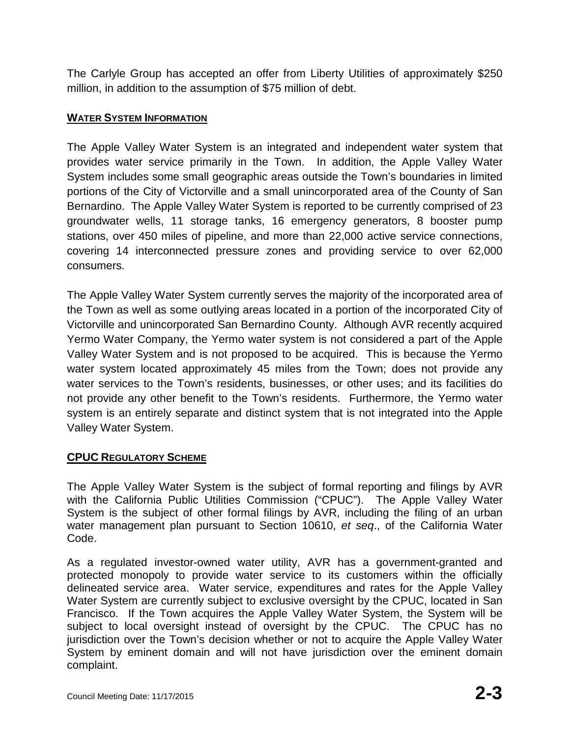The Carlyle Group has accepted an offer from Liberty Utilities of approximately \$250 million, in addition to the assumption of \$75 million of debt.

# **WATER SYSTEM INFORMATION**

The Apple Valley Water System is an integrated and independent water system that provides water service primarily in the Town. In addition, the Apple Valley Water System includes some small geographic areas outside the Town's boundaries in limited portions of the City of Victorville and a small unincorporated area of the County of San Bernardino. The Apple Valley Water System is reported to be currently comprised of 23 groundwater wells, 11 storage tanks, 16 emergency generators, 8 booster pump stations, over 450 miles of pipeline, and more than 22,000 active service connections, covering 14 interconnected pressure zones and providing service to over 62,000 consumers.

The Apple Valley Water System currently serves the majority of the incorporated area of the Town as well as some outlying areas located in a portion of the incorporated City of Victorville and unincorporated San Bernardino County. Although AVR recently acquired Yermo Water Company, the Yermo water system is not considered a part of the Apple Valley Water System and is not proposed to be acquired. This is because the Yermo water system located approximately 45 miles from the Town; does not provide any water services to the Town's residents, businesses, or other uses; and its facilities do not provide any other benefit to the Town's residents. Furthermore, the Yermo water system is an entirely separate and distinct system that is not integrated into the Apple Valley Water System.

## **CPUC REGULATORY SCHEME**

The Apple Valley Water System is the subject of formal reporting and filings by AVR with the California Public Utilities Commission ("CPUC"). The Apple Valley Water System is the subject of other formal filings by AVR, including the filing of an urban water management plan pursuant to Section 10610, *et seq*., of the California Water Code.

As a regulated investor-owned water utility, AVR has a government-granted and protected monopoly to provide water service to its customers within the officially delineated service area. Water service, expenditures and rates for the Apple Valley Water System are currently subject to exclusive oversight by the CPUC, located in San Francisco. If the Town acquires the Apple Valley Water System, the System will be subject to local oversight instead of oversight by the CPUC. The CPUC has no jurisdiction over the Town's decision whether or not to acquire the Apple Valley Water System by eminent domain and will not have jurisdiction over the eminent domain complaint.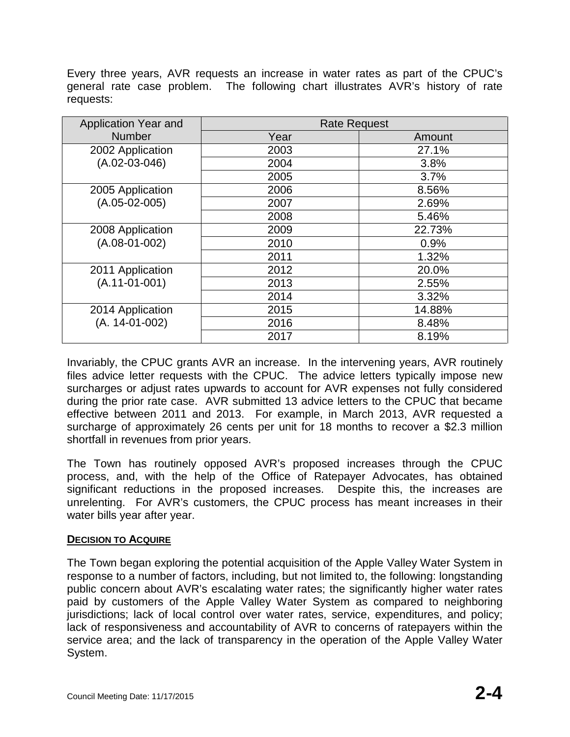Every three years, AVR requests an increase in water rates as part of the CPUC's general rate case problem. The following chart illustrates AVR's history of rate requests:

| Application Year and                | <b>Rate Request</b> |        |
|-------------------------------------|---------------------|--------|
| <b>Number</b>                       | Year                | Amount |
| 2002 Application                    | 2003                | 27.1%  |
| $(A.02-03-046)$                     | 2004                | 3.8%   |
|                                     | 2005                | 3.7%   |
| 2005 Application                    | 2006                | 8.56%  |
| $(A.05-02-005)$                     | 2007                | 2.69%  |
|                                     | 2008                | 5.46%  |
| 2008 Application<br>$(A.08-01-002)$ | 2009                | 22.73% |
|                                     | 2010                | 0.9%   |
|                                     | 2011                | 1.32%  |
| 2011 Application                    | 2012                | 20.0%  |
| $(A.11-01-001)$                     | 2013                | 2.55%  |
|                                     | 2014                | 3.32%  |
| 2014 Application                    | 2015                | 14.88% |
| $(A. 14-01-002)$                    | 2016                | 8.48%  |
|                                     | 2017                | 8.19%  |

Invariably, the CPUC grants AVR an increase. In the intervening years, AVR routinely files advice letter requests with the CPUC. The advice letters typically impose new surcharges or adjust rates upwards to account for AVR expenses not fully considered during the prior rate case. AVR submitted 13 advice letters to the CPUC that became effective between 2011 and 2013. For example, in March 2013, AVR requested a surcharge of approximately 26 cents per unit for 18 months to recover a \$2.3 million shortfall in revenues from prior years.

The Town has routinely opposed AVR's proposed increases through the CPUC process, and, with the help of the Office of Ratepayer Advocates, has obtained significant reductions in the proposed increases. Despite this, the increases are unrelenting. For AVR's customers, the CPUC process has meant increases in their water bills year after year.

### **DECISION TO ACQUIRE**

The Town began exploring the potential acquisition of the Apple Valley Water System in response to a number of factors, including, but not limited to, the following: longstanding public concern about AVR's escalating water rates; the significantly higher water rates paid by customers of the Apple Valley Water System as compared to neighboring jurisdictions; lack of local control over water rates, service, expenditures, and policy; lack of responsiveness and accountability of AVR to concerns of ratepayers within the service area; and the lack of transparency in the operation of the Apple Valley Water System.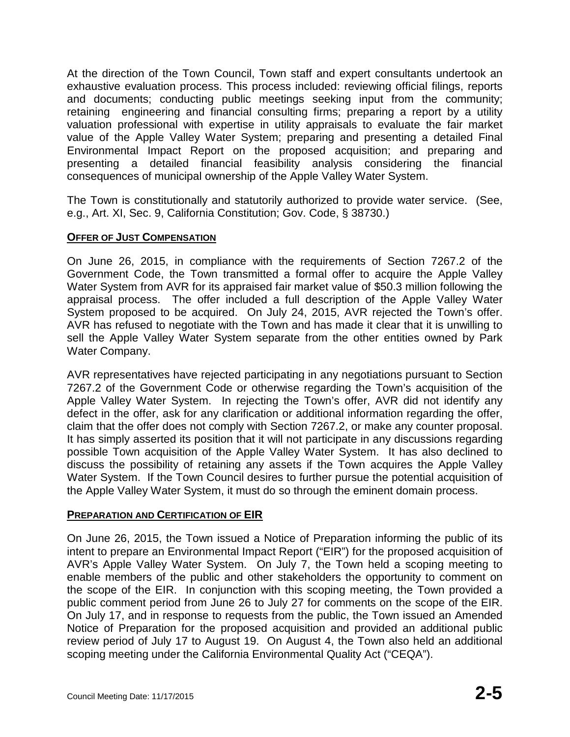At the direction of the Town Council, Town staff and expert consultants undertook an exhaustive evaluation process. This process included: reviewing official filings, reports and documents; conducting public meetings seeking input from the community; retaining engineering and financial consulting firms; preparing a report by a utility valuation professional with expertise in utility appraisals to evaluate the fair market value of the Apple Valley Water System; preparing and presenting a detailed Final Environmental Impact Report on the proposed acquisition; and preparing and presenting a detailed financial feasibility analysis considering the financial consequences of municipal ownership of the Apple Valley Water System.

The Town is constitutionally and statutorily authorized to provide water service. (See, e.g., Art. XI, Sec. 9, California Constitution; Gov. Code, § 38730.)

### **OFFER OF JUST COMPENSATION**

On June 26, 2015, in compliance with the requirements of Section 7267.2 of the Government Code, the Town transmitted a formal offer to acquire the Apple Valley Water System from AVR for its appraised fair market value of \$50.3 million following the appraisal process. The offer included a full description of the Apple Valley Water System proposed to be acquired. On July 24, 2015, AVR rejected the Town's offer. AVR has refused to negotiate with the Town and has made it clear that it is unwilling to sell the Apple Valley Water System separate from the other entities owned by Park Water Company.

AVR representatives have rejected participating in any negotiations pursuant to Section 7267.2 of the Government Code or otherwise regarding the Town's acquisition of the Apple Valley Water System. In rejecting the Town's offer, AVR did not identify any defect in the offer, ask for any clarification or additional information regarding the offer, claim that the offer does not comply with Section 7267.2, or make any counter proposal. It has simply asserted its position that it will not participate in any discussions regarding possible Town acquisition of the Apple Valley Water System. It has also declined to discuss the possibility of retaining any assets if the Town acquires the Apple Valley Water System. If the Town Council desires to further pursue the potential acquisition of the Apple Valley Water System, it must do so through the eminent domain process.

### **PREPARATION AND CERTIFICATION OF EIR**

On June 26, 2015, the Town issued a Notice of Preparation informing the public of its intent to prepare an Environmental Impact Report ("EIR") for the proposed acquisition of AVR's Apple Valley Water System. On July 7, the Town held a scoping meeting to enable members of the public and other stakeholders the opportunity to comment on the scope of the EIR. In conjunction with this scoping meeting, the Town provided a public comment period from June 26 to July 27 for comments on the scope of the EIR. On July 17, and in response to requests from the public, the Town issued an Amended Notice of Preparation for the proposed acquisition and provided an additional public review period of July 17 to August 19. On August 4, the Town also held an additional scoping meeting under the California Environmental Quality Act ("CEQA").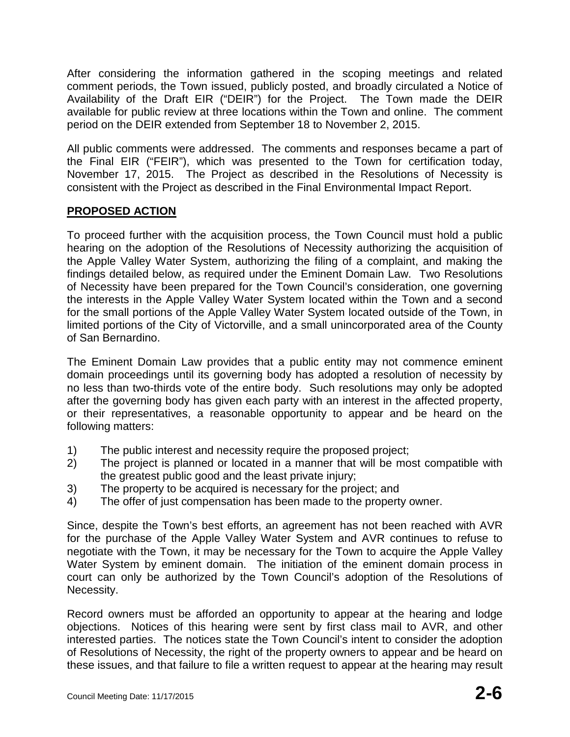After considering the information gathered in the scoping meetings and related comment periods, the Town issued, publicly posted, and broadly circulated a Notice of Availability of the Draft EIR ("DEIR") for the Project. The Town made the DEIR available for public review at three locations within the Town and online. The comment period on the DEIR extended from September 18 to November 2, 2015.

All public comments were addressed. The comments and responses became a part of the Final EIR ("FEIR"), which was presented to the Town for certification today, November 17, 2015. The Project as described in the Resolutions of Necessity is consistent with the Project as described in the Final Environmental Impact Report.

## **PROPOSED ACTION**

To proceed further with the acquisition process, the Town Council must hold a public hearing on the adoption of the Resolutions of Necessity authorizing the acquisition of the Apple Valley Water System, authorizing the filing of a complaint, and making the findings detailed below, as required under the Eminent Domain Law. Two Resolutions of Necessity have been prepared for the Town Council's consideration, one governing the interests in the Apple Valley Water System located within the Town and a second for the small portions of the Apple Valley Water System located outside of the Town, in limited portions of the City of Victorville, and a small unincorporated area of the County of San Bernardino.

The Eminent Domain Law provides that a public entity may not commence eminent domain proceedings until its governing body has adopted a resolution of necessity by no less than two-thirds vote of the entire body. Such resolutions may only be adopted after the governing body has given each party with an interest in the affected property, or their representatives, a reasonable opportunity to appear and be heard on the following matters:

- 1) The public interest and necessity require the proposed project;
- 2) The project is planned or located in a manner that will be most compatible with the greatest public good and the least private injury;
- 3) The property to be acquired is necessary for the project; and
- 4) The offer of just compensation has been made to the property owner.

Since, despite the Town's best efforts, an agreement has not been reached with AVR for the purchase of the Apple Valley Water System and AVR continues to refuse to negotiate with the Town, it may be necessary for the Town to acquire the Apple Valley Water System by eminent domain. The initiation of the eminent domain process in court can only be authorized by the Town Council's adoption of the Resolutions of Necessity.

Record owners must be afforded an opportunity to appear at the hearing and lodge objections. Notices of this hearing were sent by first class mail to AVR, and other interested parties. The notices state the Town Council's intent to consider the adoption of Resolutions of Necessity, the right of the property owners to appear and be heard on these issues, and that failure to file a written request to appear at the hearing may result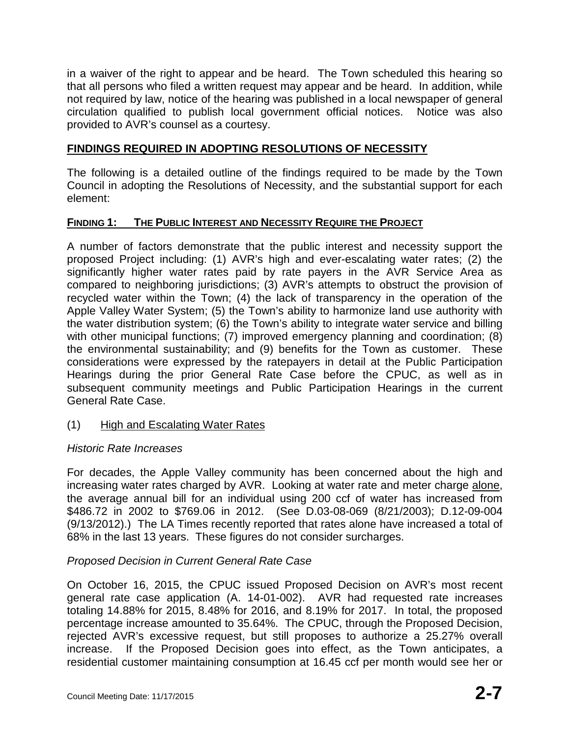in a waiver of the right to appear and be heard. The Town scheduled this hearing so that all persons who filed a written request may appear and be heard. In addition, while not required by law, notice of the hearing was published in a local newspaper of general circulation qualified to publish local government official notices. Notice was also provided to AVR's counsel as a courtesy.

## **FINDINGS REQUIRED IN ADOPTING RESOLUTIONS OF NECESSITY**

The following is a detailed outline of the findings required to be made by the Town Council in adopting the Resolutions of Necessity, and the substantial support for each element:

## **FINDING 1: THE PUBLIC INTEREST AND NECESSITY REQUIRE THE PROJECT**

A number of factors demonstrate that the public interest and necessity support the proposed Project including: (1) AVR's high and ever-escalating water rates; (2) the significantly higher water rates paid by rate payers in the AVR Service Area as compared to neighboring jurisdictions; (3) AVR's attempts to obstruct the provision of recycled water within the Town; (4) the lack of transparency in the operation of the Apple Valley Water System; (5) the Town's ability to harmonize land use authority with the water distribution system; (6) the Town's ability to integrate water service and billing with other municipal functions; (7) improved emergency planning and coordination; (8) the environmental sustainability; and (9) benefits for the Town as customer. These considerations were expressed by the ratepayers in detail at the Public Participation Hearings during the prior General Rate Case before the CPUC, as well as in subsequent community meetings and Public Participation Hearings in the current General Rate Case.

## (1) High and Escalating Water Rates

### *Historic Rate Increases*

For decades, the Apple Valley community has been concerned about the high and increasing water rates charged by AVR. Looking at water rate and meter charge alone, the average annual bill for an individual using 200 ccf of water has increased from \$486.72 in 2002 to \$769.06 in 2012. (See D.03-08-069 (8/21/2003); D.12-09-004 (9/13/2012).) The LA Times recently reported that rates alone have increased a total of 68% in the last 13 years. These figures do not consider surcharges.

## *Proposed Decision in Current General Rate Case*

On October 16, 2015, the CPUC issued Proposed Decision on AVR's most recent general rate case application (A. 14-01-002). AVR had requested rate increases totaling 14.88% for 2015, 8.48% for 2016, and 8.19% for 2017. In total, the proposed percentage increase amounted to 35.64%. The CPUC, through the Proposed Decision, rejected AVR's excessive request, but still proposes to authorize a 25.27% overall increase. If the Proposed Decision goes into effect, as the Town anticipates, a residential customer maintaining consumption at 16.45 ccf per month would see her or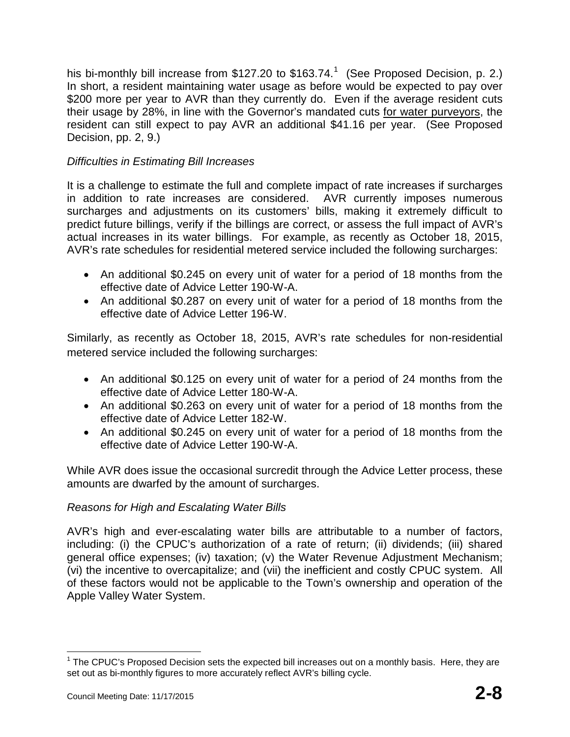his bi-monthly bill increase from \$[1](#page-7-0)27.20 to \$163.74.<sup>1</sup> (See Proposed Decision, p. 2.) In short, a resident maintaining water usage as before would be expected to pay over \$200 more per year to AVR than they currently do. Even if the average resident cuts their usage by 28%, in line with the Governor's mandated cuts for water purveyors, the resident can still expect to pay AVR an additional \$41.16 per year. (See Proposed Decision, pp. 2, 9.)

## *Difficulties in Estimating Bill Increases*

It is a challenge to estimate the full and complete impact of rate increases if surcharges in addition to rate increases are considered. AVR currently imposes numerous surcharges and adjustments on its customers' bills, making it extremely difficult to predict future billings, verify if the billings are correct, or assess the full impact of AVR's actual increases in its water billings. For example, as recently as October 18, 2015, AVR's rate schedules for residential metered service included the following surcharges:

- An additional \$0.245 on every unit of water for a period of 18 months from the effective date of Advice Letter 190-W-A.
- An additional \$0.287 on every unit of water for a period of 18 months from the effective date of Advice Letter 196-W.

Similarly, as recently as October 18, 2015, AVR's rate schedules for non-residential metered service included the following surcharges:

- An additional \$0.125 on every unit of water for a period of 24 months from the effective date of Advice Letter 180-W-A.
- An additional \$0.263 on every unit of water for a period of 18 months from the effective date of Advice Letter 182-W.
- An additional \$0.245 on every unit of water for a period of 18 months from the effective date of Advice Letter 190-W-A.

While AVR does issue the occasional surcredit through the Advice Letter process, these amounts are dwarfed by the amount of surcharges.

### *Reasons for High and Escalating Water Bills*

AVR's high and ever-escalating water bills are attributable to a number of factors, including: (i) the CPUC's authorization of a rate of return; (ii) dividends; (iii) shared general office expenses; (iv) taxation; (v) the Water Revenue Adjustment Mechanism; (vi) the incentive to overcapitalize; and (vii) the inefficient and costly CPUC system. All of these factors would not be applicable to the Town's ownership and operation of the Apple Valley Water System.

<span id="page-7-0"></span> $1$  The CPUC's Proposed Decision sets the expected bill increases out on a monthly basis. Here, they are set out as bi-monthly figures to more accurately reflect AVR's billing cycle.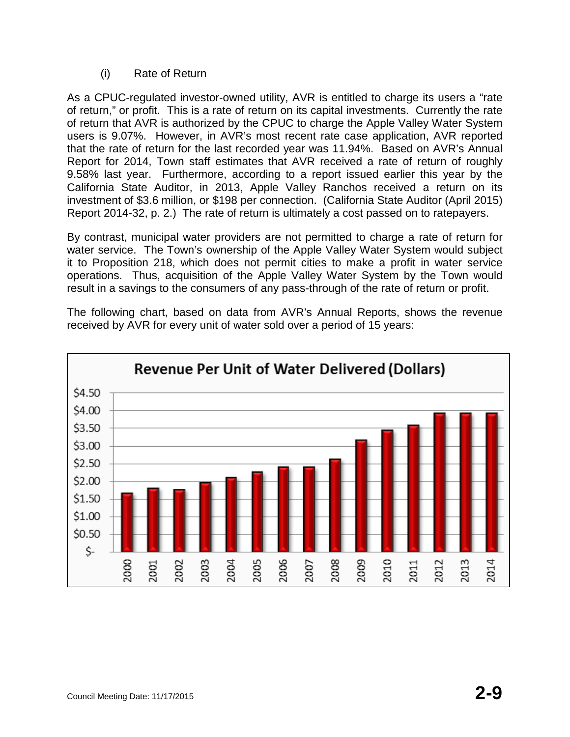(i) Rate of Return

As a CPUC-regulated investor-owned utility, AVR is entitled to charge its users a "rate of return," or profit. This is a rate of return on its capital investments. Currently the rate of return that AVR is authorized by the CPUC to charge the Apple Valley Water System users is 9.07%. However, in AVR's most recent rate case application, AVR reported that the rate of return for the last recorded year was 11.94%. Based on AVR's Annual Report for 2014, Town staff estimates that AVR received a rate of return of roughly 9.58% last year. Furthermore, according to a report issued earlier this year by the California State Auditor, in 2013, Apple Valley Ranchos received a return on its investment of \$3.6 million, or \$198 per connection. (California State Auditor (April 2015) Report 2014-32, p. 2.) The rate of return is ultimately a cost passed on to ratepayers.

By contrast, municipal water providers are not permitted to charge a rate of return for water service. The Town's ownership of the Apple Valley Water System would subject it to Proposition 218, which does not permit cities to make a profit in water service operations. Thus, acquisition of the Apple Valley Water System by the Town would result in a savings to the consumers of any pass-through of the rate of return or profit.

The following chart, based on data from AVR's Annual Reports, shows the revenue received by AVR for every unit of water sold over a period of 15 years:

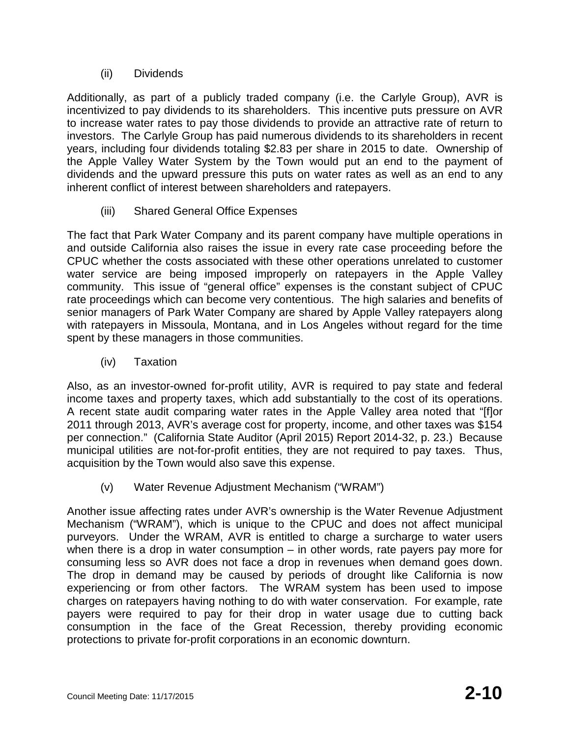## (ii) Dividends

Additionally, as part of a publicly traded company (i.e. the Carlyle Group), AVR is incentivized to pay dividends to its shareholders. This incentive puts pressure on AVR to increase water rates to pay those dividends to provide an attractive rate of return to investors. The Carlyle Group has paid numerous dividends to its shareholders in recent years, including four dividends totaling \$2.83 per share in 2015 to date. Ownership of the Apple Valley Water System by the Town would put an end to the payment of dividends and the upward pressure this puts on water rates as well as an end to any inherent conflict of interest between shareholders and ratepayers.

(iii) Shared General Office Expenses

The fact that Park Water Company and its parent company have multiple operations in and outside California also raises the issue in every rate case proceeding before the CPUC whether the costs associated with these other operations unrelated to customer water service are being imposed improperly on ratepayers in the Apple Valley community. This issue of "general office" expenses is the constant subject of CPUC rate proceedings which can become very contentious. The high salaries and benefits of senior managers of Park Water Company are shared by Apple Valley ratepayers along with ratepayers in Missoula, Montana, and in Los Angeles without regard for the time spent by these managers in those communities.

(iv) Taxation

Also, as an investor-owned for-profit utility, AVR is required to pay state and federal income taxes and property taxes, which add substantially to the cost of its operations. A recent state audit comparing water rates in the Apple Valley area noted that "[f]or 2011 through 2013, AVR's average cost for property, income, and other taxes was \$154 per connection." (California State Auditor (April 2015) Report 2014-32, p. 23.) Because municipal utilities are not-for-profit entities, they are not required to pay taxes. Thus, acquisition by the Town would also save this expense.

(v) Water Revenue Adjustment Mechanism ("WRAM")

Another issue affecting rates under AVR's ownership is the Water Revenue Adjustment Mechanism ("WRAM"), which is unique to the CPUC and does not affect municipal purveyors. Under the WRAM, AVR is entitled to charge a surcharge to water users when there is a drop in water consumption – in other words, rate payers pay more for consuming less so AVR does not face a drop in revenues when demand goes down. The drop in demand may be caused by periods of drought like California is now experiencing or from other factors. The WRAM system has been used to impose charges on ratepayers having nothing to do with water conservation. For example, rate payers were required to pay for their drop in water usage due to cutting back consumption in the face of the Great Recession, thereby providing economic protections to private for-profit corporations in an economic downturn.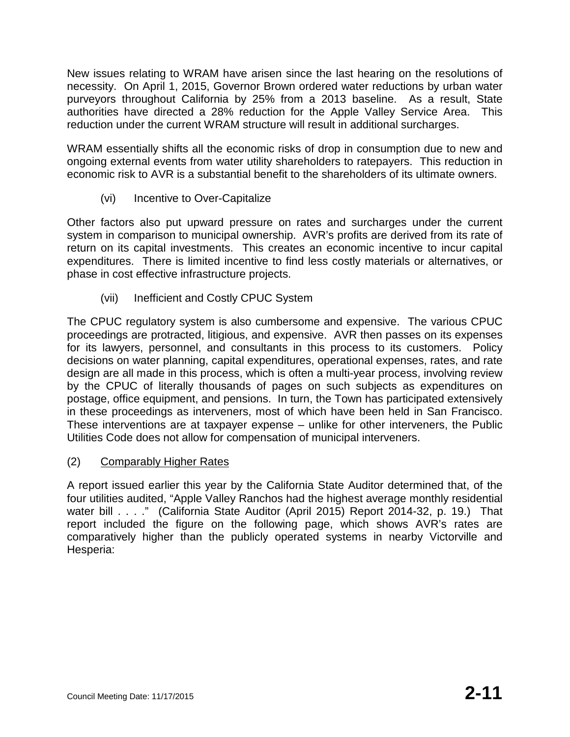New issues relating to WRAM have arisen since the last hearing on the resolutions of necessity. On April 1, 2015, Governor Brown ordered water reductions by urban water purveyors throughout California by 25% from a 2013 baseline. As a result, State authorities have directed a 28% reduction for the Apple Valley Service Area. This reduction under the current WRAM structure will result in additional surcharges.

WRAM essentially shifts all the economic risks of drop in consumption due to new and ongoing external events from water utility shareholders to ratepayers. This reduction in economic risk to AVR is a substantial benefit to the shareholders of its ultimate owners.

(vi) Incentive to Over-Capitalize

Other factors also put upward pressure on rates and surcharges under the current system in comparison to municipal ownership. AVR's profits are derived from its rate of return on its capital investments. This creates an economic incentive to incur capital expenditures. There is limited incentive to find less costly materials or alternatives, or phase in cost effective infrastructure projects.

(vii) Inefficient and Costly CPUC System

The CPUC regulatory system is also cumbersome and expensive. The various CPUC proceedings are protracted, litigious, and expensive. AVR then passes on its expenses for its lawyers, personnel, and consultants in this process to its customers. Policy decisions on water planning, capital expenditures, operational expenses, rates, and rate design are all made in this process, which is often a multi-year process, involving review by the CPUC of literally thousands of pages on such subjects as expenditures on postage, office equipment, and pensions. In turn, the Town has participated extensively in these proceedings as interveners, most of which have been held in San Francisco. These interventions are at taxpayer expense – unlike for other interveners, the Public Utilities Code does not allow for compensation of municipal interveners.

(2) Comparably Higher Rates

A report issued earlier this year by the California State Auditor determined that, of the four utilities audited, "Apple Valley Ranchos had the highest average monthly residential water bill . . . ." (California State Auditor (April 2015) Report 2014-32, p. 19.) That report included the figure on the following page, which shows AVR's rates are comparatively higher than the publicly operated systems in nearby Victorville and Hesperia: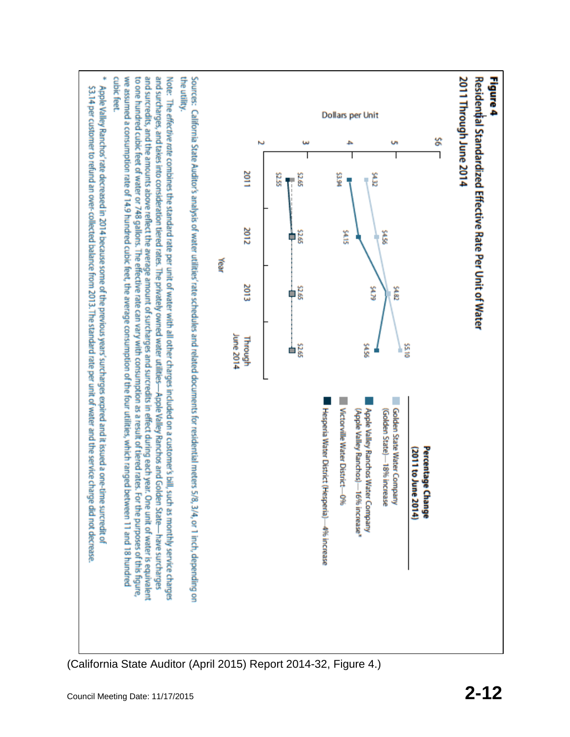

(California State Auditor (April 2015) Report 2014-32, Figure 4.)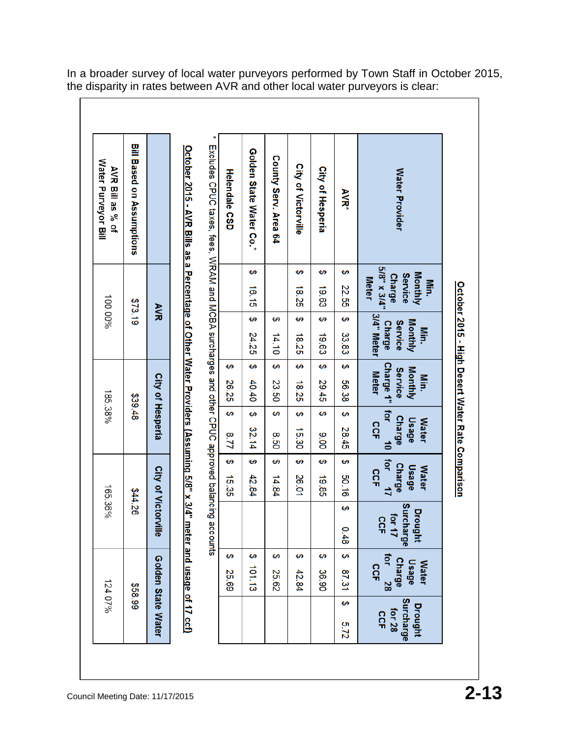| <b>Water Provider</b><br><b>AVR*</b>                                                    | 5/8" x 3/4"<br>↔<br>Monthly<br><b>Service</b><br><b>Charge</b><br><b>Meter</b><br><b>Min.</b><br>22.55 | 3/4" Meter<br>₩<br>Monthly<br><b>Service</b><br><b>Charge</b><br><b>Min</b><br>33.83 | မာ<br>Charge 1"<br>Monthly<br><b>Service</b><br><b>Meter</b><br>Min.<br>56.38 | Tor<br>↔<br><b>Charge</b><br>Usage<br><b>Water</b><br><b>CCF</b><br>28.45<br>$\vec{0}$ | for $17$<br>↔<br><b>Charge</b><br>Usage<br><b>Water</b><br>SCF<br>50.16 | Surcharge<br>↔<br>Drought<br>for 17<br><b>CCF</b><br>0.48 | ↔<br>for 28<br><b>Charge</b><br><b>Usage</b><br><b>Water</b><br>SCF |
|-----------------------------------------------------------------------------------------|--------------------------------------------------------------------------------------------------------|--------------------------------------------------------------------------------------|-------------------------------------------------------------------------------|----------------------------------------------------------------------------------------|-------------------------------------------------------------------------|-----------------------------------------------------------|---------------------------------------------------------------------|
|                                                                                         |                                                                                                        |                                                                                      |                                                                               |                                                                                        |                                                                         |                                                           | 87.31                                                               |
| City of Hesperia                                                                        | ↮<br>19.63                                                                                             | ₩<br>19.63                                                                           | ↔<br>29.45                                                                    | ↔<br>006                                                                               | ↮<br>19.85                                                              |                                                           | ↮<br>36.90                                                          |
| City of Victorville                                                                     | ↔<br>18.25                                                                                             | ↔<br>18.25                                                                           | ₩<br>18.25                                                                    | ₩<br>15.30                                                                             | ↮<br>26.01                                                              |                                                           | ↮<br>42.84                                                          |
| County Serv. Area 64                                                                    |                                                                                                        | ↮<br>14.10                                                                           | ↔<br>23.50                                                                    | ↔<br>0.50                                                                              | ↮<br>14.84                                                              |                                                           | ↮<br>25.62                                                          |
| Golden State Water Co.*                                                                 | ↔<br>16.15                                                                                             | ↮<br>24.25                                                                           | ₩<br>40.40                                                                    | ↮<br>32.14                                                                             | ↮<br>42.84                                                              |                                                           | ₩<br>101.13                                                         |
| <b>Helendale CSD</b>                                                                    |                                                                                                        |                                                                                      | ⊷<br>26.25                                                                    | မာ<br>221                                                                              | ↔<br>15.35                                                              |                                                           | ↮<br>25.69                                                          |
| Excludes CPUC taxes, fees, WRAM and MCBA surcharges and other CPUC approved balancing   |                                                                                                        |                                                                                      |                                                                               |                                                                                        |                                                                         | accounts                                                  |                                                                     |
| October 2015 - AVR Bills as a Percentage of Other Water Providers (Assuming 5/8" x 3/4" |                                                                                                        |                                                                                      |                                                                               |                                                                                        |                                                                         |                                                           | meter and usage of 17 ccf)                                          |
|                                                                                         |                                                                                                        | УN                                                                                   |                                                                               | City of Hesperia                                                                       |                                                                         | City of Victorville                                       | Golden State Water                                                  |
| <b>Bill Based on Assumptions</b>                                                        |                                                                                                        | \$73.19                                                                              |                                                                               | \$39.48                                                                                |                                                                         | 844.26                                                    |                                                                     |
| AVR Bill as % of                                                                        |                                                                                                        | 100.00%                                                                              |                                                                               | 185.38%                                                                                |                                                                         | 165.36%                                                   |                                                                     |

In a broader survey of local water purveyors performed by Town Staff in October 2015, the disparity in rates between AVR and other local water purveyors is clear: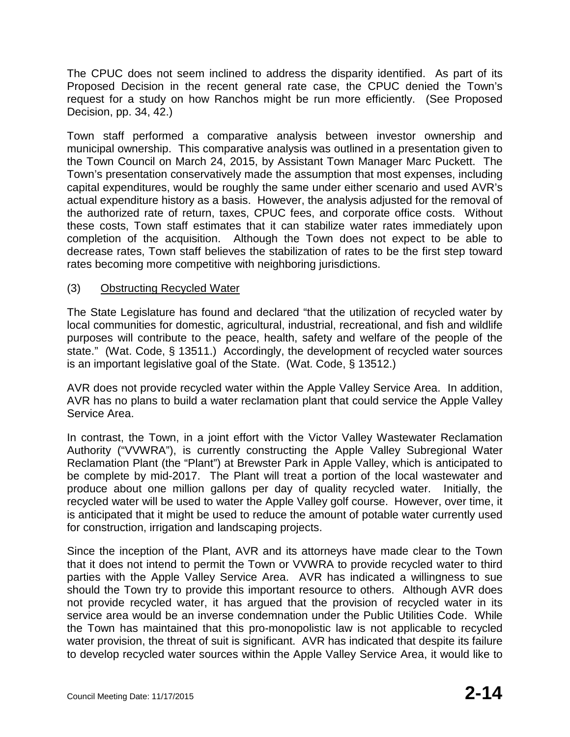The CPUC does not seem inclined to address the disparity identified. As part of its Proposed Decision in the recent general rate case, the CPUC denied the Town's request for a study on how Ranchos might be run more efficiently. (See Proposed Decision, pp. 34, 42.)

Town staff performed a comparative analysis between investor ownership and municipal ownership. This comparative analysis was outlined in a presentation given to the Town Council on March 24, 2015, by Assistant Town Manager Marc Puckett. The Town's presentation conservatively made the assumption that most expenses, including capital expenditures, would be roughly the same under either scenario and used AVR's actual expenditure history as a basis. However, the analysis adjusted for the removal of the authorized rate of return, taxes, CPUC fees, and corporate office costs. Without these costs, Town staff estimates that it can stabilize water rates immediately upon completion of the acquisition. Although the Town does not expect to be able to decrease rates, Town staff believes the stabilization of rates to be the first step toward rates becoming more competitive with neighboring jurisdictions.

## (3) Obstructing Recycled Water

The State Legislature has found and declared "that the utilization of recycled water by local communities for domestic, agricultural, industrial, recreational, and fish and wildlife purposes will contribute to the peace, health, safety and welfare of the people of the state." (Wat. Code, § 13511.) Accordingly, the development of recycled water sources is an important legislative goal of the State. (Wat. Code, § 13512.)

AVR does not provide recycled water within the Apple Valley Service Area. In addition, AVR has no plans to build a water reclamation plant that could service the Apple Valley Service Area.

In contrast, the Town, in a joint effort with the Victor Valley Wastewater Reclamation Authority ("VVWRA"), is currently constructing the Apple Valley Subregional Water Reclamation Plant (the "Plant") at Brewster Park in Apple Valley, which is anticipated to be complete by mid-2017. The Plant will treat a portion of the local wastewater and produce about one million gallons per day of quality recycled water. Initially, the recycled water will be used to water the Apple Valley golf course. However, over time, it is anticipated that it might be used to reduce the amount of potable water currently used for construction, irrigation and landscaping projects.

Since the inception of the Plant, AVR and its attorneys have made clear to the Town that it does not intend to permit the Town or VVWRA to provide recycled water to third parties with the Apple Valley Service Area. AVR has indicated a willingness to sue should the Town try to provide this important resource to others. Although AVR does not provide recycled water, it has argued that the provision of recycled water in its service area would be an inverse condemnation under the Public Utilities Code. While the Town has maintained that this pro-monopolistic law is not applicable to recycled water provision, the threat of suit is significant. AVR has indicated that despite its failure to develop recycled water sources within the Apple Valley Service Area, it would like to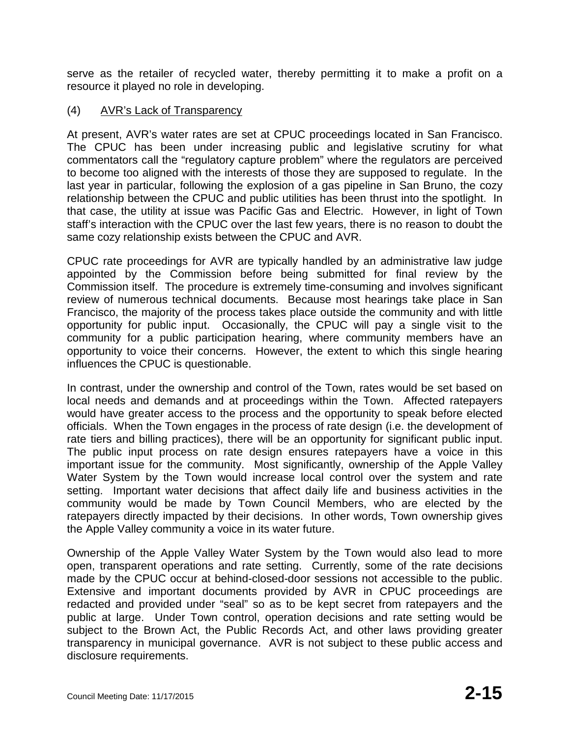serve as the retailer of recycled water, thereby permitting it to make a profit on a resource it played no role in developing.

## (4) AVR's Lack of Transparency

At present, AVR's water rates are set at CPUC proceedings located in San Francisco. The CPUC has been under increasing public and legislative scrutiny for what commentators call the "regulatory capture problem" where the regulators are perceived to become too aligned with the interests of those they are supposed to regulate. In the last year in particular, following the explosion of a gas pipeline in San Bruno, the cozy relationship between the CPUC and public utilities has been thrust into the spotlight. In that case, the utility at issue was Pacific Gas and Electric. However, in light of Town staff's interaction with the CPUC over the last few years, there is no reason to doubt the same cozy relationship exists between the CPUC and AVR.

CPUC rate proceedings for AVR are typically handled by an administrative law judge appointed by the Commission before being submitted for final review by the Commission itself. The procedure is extremely time-consuming and involves significant review of numerous technical documents. Because most hearings take place in San Francisco, the majority of the process takes place outside the community and with little opportunity for public input. Occasionally, the CPUC will pay a single visit to the community for a public participation hearing, where community members have an opportunity to voice their concerns. However, the extent to which this single hearing influences the CPUC is questionable.

In contrast, under the ownership and control of the Town, rates would be set based on local needs and demands and at proceedings within the Town. Affected ratepayers would have greater access to the process and the opportunity to speak before elected officials. When the Town engages in the process of rate design (i.e. the development of rate tiers and billing practices), there will be an opportunity for significant public input. The public input process on rate design ensures ratepayers have a voice in this important issue for the community. Most significantly, ownership of the Apple Valley Water System by the Town would increase local control over the system and rate setting. Important water decisions that affect daily life and business activities in the community would be made by Town Council Members, who are elected by the ratepayers directly impacted by their decisions. In other words, Town ownership gives the Apple Valley community a voice in its water future.

Ownership of the Apple Valley Water System by the Town would also lead to more open, transparent operations and rate setting. Currently, some of the rate decisions made by the CPUC occur at behind-closed-door sessions not accessible to the public. Extensive and important documents provided by AVR in CPUC proceedings are redacted and provided under "seal" so as to be kept secret from ratepayers and the public at large. Under Town control, operation decisions and rate setting would be subject to the Brown Act, the Public Records Act, and other laws providing greater transparency in municipal governance. AVR is not subject to these public access and disclosure requirements.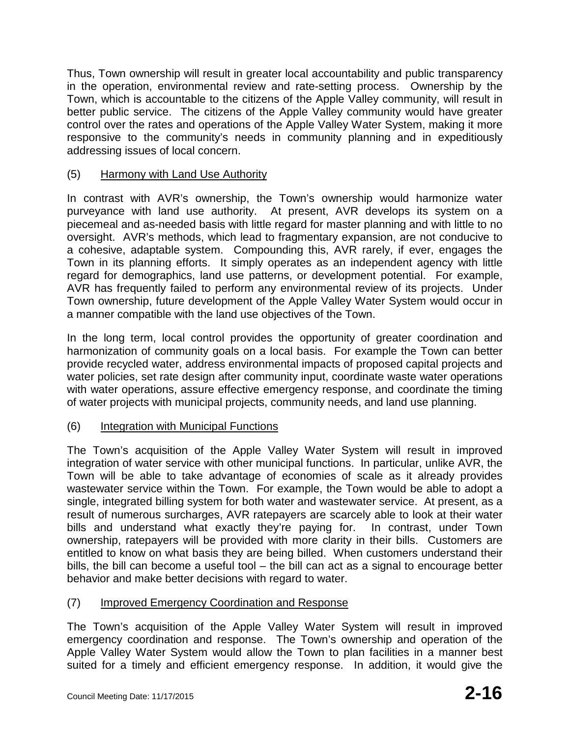Thus, Town ownership will result in greater local accountability and public transparency in the operation, environmental review and rate-setting process. Ownership by the Town, which is accountable to the citizens of the Apple Valley community, will result in better public service. The citizens of the Apple Valley community would have greater control over the rates and operations of the Apple Valley Water System, making it more responsive to the community's needs in community planning and in expeditiously addressing issues of local concern.

## (5) Harmony with Land Use Authority

In contrast with AVR's ownership, the Town's ownership would harmonize water purveyance with land use authority. At present, AVR develops its system on a piecemeal and as-needed basis with little regard for master planning and with little to no oversight. AVR's methods, which lead to fragmentary expansion, are not conducive to a cohesive, adaptable system. Compounding this, AVR rarely, if ever, engages the Town in its planning efforts. It simply operates as an independent agency with little regard for demographics, land use patterns, or development potential. For example, AVR has frequently failed to perform any environmental review of its projects. Under Town ownership, future development of the Apple Valley Water System would occur in a manner compatible with the land use objectives of the Town.

In the long term, local control provides the opportunity of greater coordination and harmonization of community goals on a local basis. For example the Town can better provide recycled water, address environmental impacts of proposed capital projects and water policies, set rate design after community input, coordinate waste water operations with water operations, assure effective emergency response, and coordinate the timing of water projects with municipal projects, community needs, and land use planning.

# (6) Integration with Municipal Functions

The Town's acquisition of the Apple Valley Water System will result in improved integration of water service with other municipal functions. In particular, unlike AVR, the Town will be able to take advantage of economies of scale as it already provides wastewater service within the Town. For example, the Town would be able to adopt a single, integrated billing system for both water and wastewater service. At present, as a result of numerous surcharges, AVR ratepayers are scarcely able to look at their water bills and understand what exactly they're paying for. In contrast, under Town ownership, ratepayers will be provided with more clarity in their bills. Customers are entitled to know on what basis they are being billed. When customers understand their bills, the bill can become a useful tool – the bill can act as a signal to encourage better behavior and make better decisions with regard to water.

## (7) Improved Emergency Coordination and Response

The Town's acquisition of the Apple Valley Water System will result in improved emergency coordination and response. The Town's ownership and operation of the Apple Valley Water System would allow the Town to plan facilities in a manner best suited for a timely and efficient emergency response. In addition, it would give the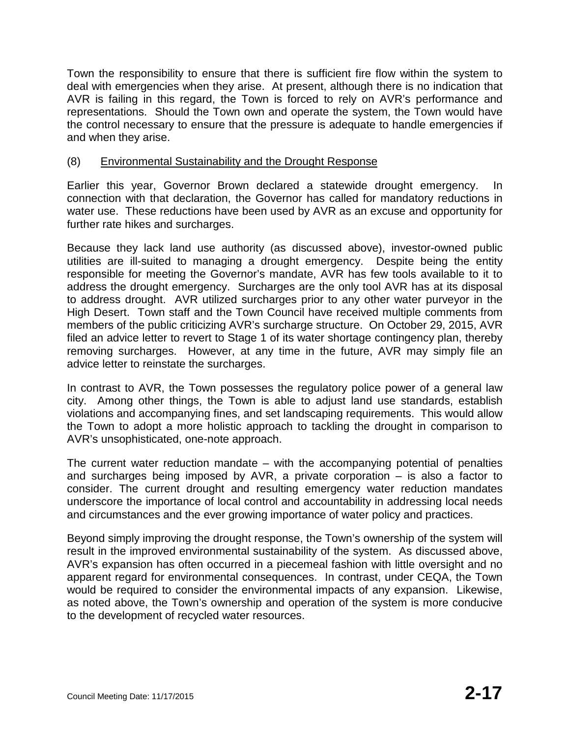Town the responsibility to ensure that there is sufficient fire flow within the system to deal with emergencies when they arise. At present, although there is no indication that AVR is failing in this regard, the Town is forced to rely on AVR's performance and representations. Should the Town own and operate the system, the Town would have the control necessary to ensure that the pressure is adequate to handle emergencies if and when they arise.

### (8) Environmental Sustainability and the Drought Response

Earlier this year, Governor Brown declared a statewide drought emergency. In connection with that declaration, the Governor has called for mandatory reductions in water use. These reductions have been used by AVR as an excuse and opportunity for further rate hikes and surcharges.

Because they lack land use authority (as discussed above), investor-owned public utilities are ill-suited to managing a drought emergency. Despite being the entity responsible for meeting the Governor's mandate, AVR has few tools available to it to address the drought emergency. Surcharges are the only tool AVR has at its disposal to address drought. AVR utilized surcharges prior to any other water purveyor in the High Desert. Town staff and the Town Council have received multiple comments from members of the public criticizing AVR's surcharge structure. On October 29, 2015, AVR filed an advice letter to revert to Stage 1 of its water shortage contingency plan, thereby removing surcharges. However, at any time in the future, AVR may simply file an advice letter to reinstate the surcharges.

In contrast to AVR, the Town possesses the regulatory police power of a general law city. Among other things, the Town is able to adjust land use standards, establish violations and accompanying fines, and set landscaping requirements. This would allow the Town to adopt a more holistic approach to tackling the drought in comparison to AVR's unsophisticated, one-note approach.

The current water reduction mandate – with the accompanying potential of penalties and surcharges being imposed by AVR, a private corporation – is also a factor to consider. The current drought and resulting emergency water reduction mandates underscore the importance of local control and accountability in addressing local needs and circumstances and the ever growing importance of water policy and practices.

Beyond simply improving the drought response, the Town's ownership of the system will result in the improved environmental sustainability of the system. As discussed above, AVR's expansion has often occurred in a piecemeal fashion with little oversight and no apparent regard for environmental consequences. In contrast, under CEQA, the Town would be required to consider the environmental impacts of any expansion. Likewise, as noted above, the Town's ownership and operation of the system is more conducive to the development of recycled water resources.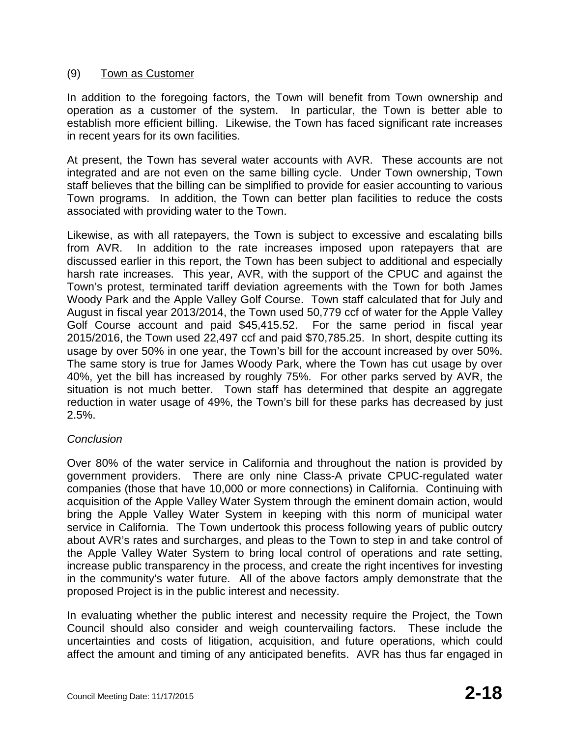## (9) Town as Customer

In addition to the foregoing factors, the Town will benefit from Town ownership and operation as a customer of the system. In particular, the Town is better able to establish more efficient billing. Likewise, the Town has faced significant rate increases in recent years for its own facilities.

At present, the Town has several water accounts with AVR. These accounts are not integrated and are not even on the same billing cycle. Under Town ownership, Town staff believes that the billing can be simplified to provide for easier accounting to various Town programs. In addition, the Town can better plan facilities to reduce the costs associated with providing water to the Town.

Likewise, as with all ratepayers, the Town is subject to excessive and escalating bills from AVR. In addition to the rate increases imposed upon ratepayers that are discussed earlier in this report, the Town has been subject to additional and especially harsh rate increases. This year, AVR, with the support of the CPUC and against the Town's protest, terminated tariff deviation agreements with the Town for both James Woody Park and the Apple Valley Golf Course. Town staff calculated that for July and August in fiscal year 2013/2014, the Town used 50,779 ccf of water for the Apple Valley Golf Course account and paid \$45,415.52. For the same period in fiscal year 2015/2016, the Town used 22,497 ccf and paid \$70,785.25. In short, despite cutting its usage by over 50% in one year, the Town's bill for the account increased by over 50%. The same story is true for James Woody Park, where the Town has cut usage by over 40%, yet the bill has increased by roughly 75%. For other parks served by AVR, the situation is not much better. Town staff has determined that despite an aggregate reduction in water usage of 49%, the Town's bill for these parks has decreased by just 2.5%.

## *Conclusion*

Over 80% of the water service in California and throughout the nation is provided by government providers. There are only nine Class-A private CPUC-regulated water companies (those that have 10,000 or more connections) in California. Continuing with acquisition of the Apple Valley Water System through the eminent domain action, would bring the Apple Valley Water System in keeping with this norm of municipal water service in California. The Town undertook this process following years of public outcry about AVR's rates and surcharges, and pleas to the Town to step in and take control of the Apple Valley Water System to bring local control of operations and rate setting, increase public transparency in the process, and create the right incentives for investing in the community's water future. All of the above factors amply demonstrate that the proposed Project is in the public interest and necessity.

In evaluating whether the public interest and necessity require the Project, the Town Council should also consider and weigh countervailing factors. These include the uncertainties and costs of litigation, acquisition, and future operations, which could affect the amount and timing of any anticipated benefits. AVR has thus far engaged in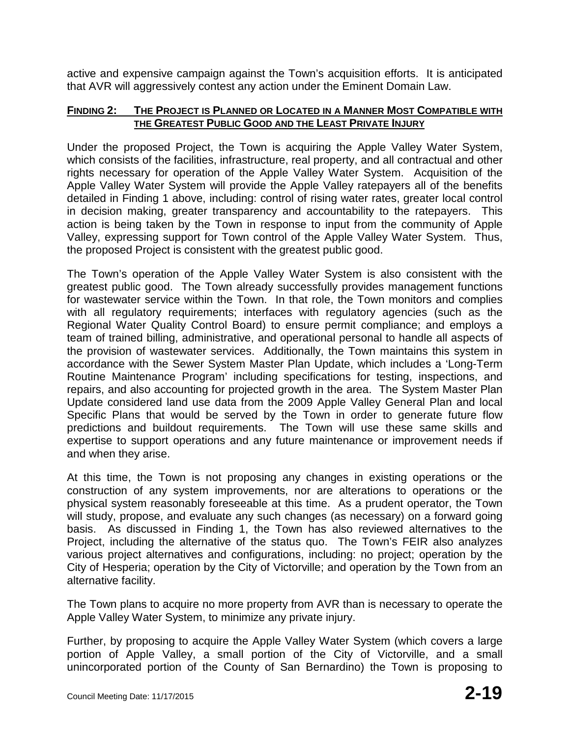active and expensive campaign against the Town's acquisition efforts. It is anticipated that AVR will aggressively contest any action under the Eminent Domain Law.

#### **FINDING 2: THE PROJECT IS PLANNED OR LOCATED IN A MANNER MOST COMPATIBLE WITH THE GREATEST PUBLIC GOOD AND THE LEAST PRIVATE INJURY**

Under the proposed Project, the Town is acquiring the Apple Valley Water System, which consists of the facilities, infrastructure, real property, and all contractual and other rights necessary for operation of the Apple Valley Water System. Acquisition of the Apple Valley Water System will provide the Apple Valley ratepayers all of the benefits detailed in Finding 1 above, including: control of rising water rates, greater local control in decision making, greater transparency and accountability to the ratepayers. This action is being taken by the Town in response to input from the community of Apple Valley, expressing support for Town control of the Apple Valley Water System. Thus, the proposed Project is consistent with the greatest public good.

The Town's operation of the Apple Valley Water System is also consistent with the greatest public good. The Town already successfully provides management functions for wastewater service within the Town. In that role, the Town monitors and complies with all regulatory requirements; interfaces with regulatory agencies (such as the Regional Water Quality Control Board) to ensure permit compliance; and employs a team of trained billing, administrative, and operational personal to handle all aspects of the provision of wastewater services. Additionally, the Town maintains this system in accordance with the Sewer System Master Plan Update, which includes a 'Long-Term Routine Maintenance Program' including specifications for testing, inspections, and repairs, and also accounting for projected growth in the area. The System Master Plan Update considered land use data from the 2009 Apple Valley General Plan and local Specific Plans that would be served by the Town in order to generate future flow predictions and buildout requirements. The Town will use these same skills and expertise to support operations and any future maintenance or improvement needs if and when they arise.

At this time, the Town is not proposing any changes in existing operations or the construction of any system improvements, nor are alterations to operations or the physical system reasonably foreseeable at this time. As a prudent operator, the Town will study, propose, and evaluate any such changes (as necessary) on a forward going basis. As discussed in Finding 1, the Town has also reviewed alternatives to the Project, including the alternative of the status quo. The Town's FEIR also analyzes various project alternatives and configurations, including: no project; operation by the City of Hesperia; operation by the City of Victorville; and operation by the Town from an alternative facility.

The Town plans to acquire no more property from AVR than is necessary to operate the Apple Valley Water System, to minimize any private injury.

Further, by proposing to acquire the Apple Valley Water System (which covers a large portion of Apple Valley, a small portion of the City of Victorville, and a small unincorporated portion of the County of San Bernardino) the Town is proposing to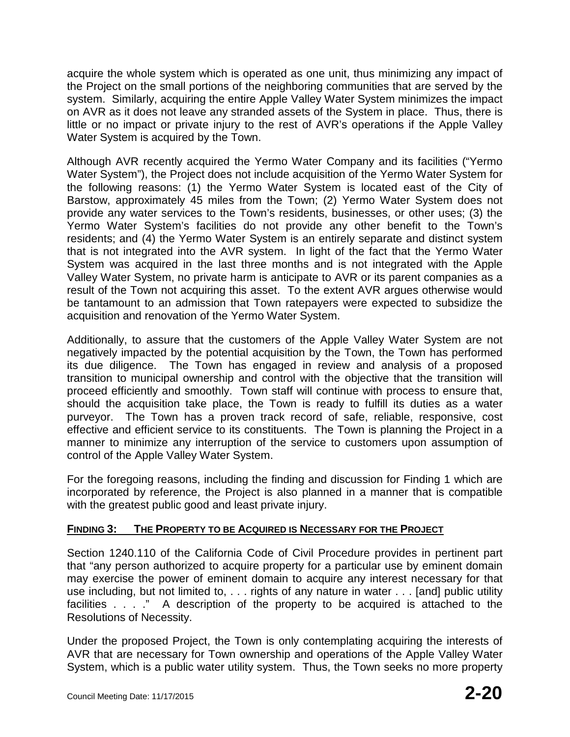acquire the whole system which is operated as one unit, thus minimizing any impact of the Project on the small portions of the neighboring communities that are served by the system. Similarly, acquiring the entire Apple Valley Water System minimizes the impact on AVR as it does not leave any stranded assets of the System in place. Thus, there is little or no impact or private injury to the rest of AVR's operations if the Apple Valley Water System is acquired by the Town.

Although AVR recently acquired the Yermo Water Company and its facilities ("Yermo Water System"), the Project does not include acquisition of the Yermo Water System for the following reasons: (1) the Yermo Water System is located east of the City of Barstow, approximately 45 miles from the Town; (2) Yermo Water System does not provide any water services to the Town's residents, businesses, or other uses; (3) the Yermo Water System's facilities do not provide any other benefit to the Town's residents; and (4) the Yermo Water System is an entirely separate and distinct system that is not integrated into the AVR system. In light of the fact that the Yermo Water System was acquired in the last three months and is not integrated with the Apple Valley Water System, no private harm is anticipate to AVR or its parent companies as a result of the Town not acquiring this asset. To the extent AVR argues otherwise would be tantamount to an admission that Town ratepayers were expected to subsidize the acquisition and renovation of the Yermo Water System.

Additionally, to assure that the customers of the Apple Valley Water System are not negatively impacted by the potential acquisition by the Town, the Town has performed its due diligence. The Town has engaged in review and analysis of a proposed transition to municipal ownership and control with the objective that the transition will proceed efficiently and smoothly. Town staff will continue with process to ensure that, should the acquisition take place, the Town is ready to fulfill its duties as a water purveyor. The Town has a proven track record of safe, reliable, responsive, cost effective and efficient service to its constituents. The Town is planning the Project in a manner to minimize any interruption of the service to customers upon assumption of control of the Apple Valley Water System.

For the foregoing reasons, including the finding and discussion for Finding 1 which are incorporated by reference, the Project is also planned in a manner that is compatible with the greatest public good and least private injury.

## **FINDING 3: THE PROPERTY TO BE ACQUIRED IS NECESSARY FOR THE PROJECT**

Section 1240.110 of the California Code of Civil Procedure provides in pertinent part that "any person authorized to acquire property for a particular use by eminent domain may exercise the power of eminent domain to acquire any interest necessary for that use including, but not limited to, . . . rights of any nature in water . . . [and] public utility facilities . . . ." A description of the property to be acquired is attached to the Resolutions of Necessity.

Under the proposed Project, the Town is only contemplating acquiring the interests of AVR that are necessary for Town ownership and operations of the Apple Valley Water System, which is a public water utility system. Thus, the Town seeks no more property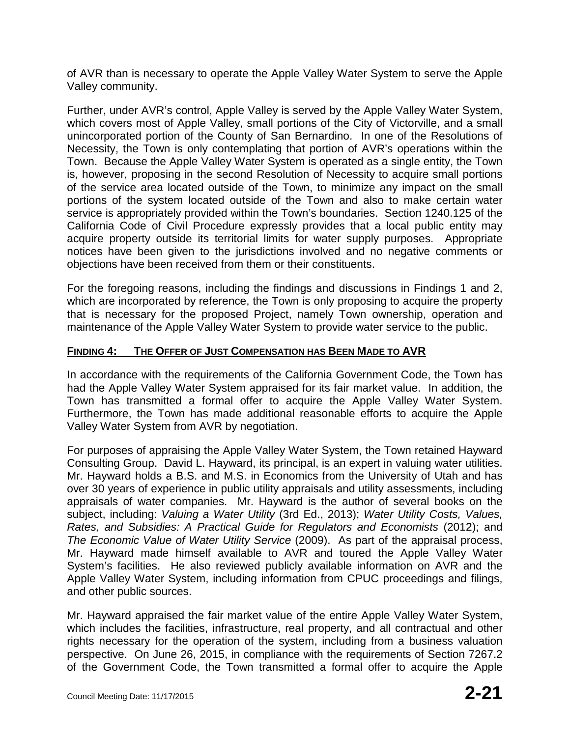of AVR than is necessary to operate the Apple Valley Water System to serve the Apple Valley community.

Further, under AVR's control, Apple Valley is served by the Apple Valley Water System, which covers most of Apple Valley, small portions of the City of Victorville, and a small unincorporated portion of the County of San Bernardino. In one of the Resolutions of Necessity, the Town is only contemplating that portion of AVR's operations within the Town. Because the Apple Valley Water System is operated as a single entity, the Town is, however, proposing in the second Resolution of Necessity to acquire small portions of the service area located outside of the Town, to minimize any impact on the small portions of the system located outside of the Town and also to make certain water service is appropriately provided within the Town's boundaries. Section 1240.125 of the California Code of Civil Procedure expressly provides that a local public entity may acquire property outside its territorial limits for water supply purposes. Appropriate notices have been given to the jurisdictions involved and no negative comments or objections have been received from them or their constituents.

For the foregoing reasons, including the findings and discussions in Findings 1 and 2, which are incorporated by reference, the Town is only proposing to acquire the property that is necessary for the proposed Project, namely Town ownership, operation and maintenance of the Apple Valley Water System to provide water service to the public.

### **FINDING 4: THE OFFER OF JUST COMPENSATION HAS BEEN MADE TO AVR**

In accordance with the requirements of the California Government Code, the Town has had the Apple Valley Water System appraised for its fair market value. In addition, the Town has transmitted a formal offer to acquire the Apple Valley Water System. Furthermore, the Town has made additional reasonable efforts to acquire the Apple Valley Water System from AVR by negotiation.

For purposes of appraising the Apple Valley Water System, the Town retained Hayward Consulting Group. David L. Hayward, its principal, is an expert in valuing water utilities. Mr. Hayward holds a B.S. and M.S. in Economics from the University of Utah and has over 30 years of experience in public utility appraisals and utility assessments, including appraisals of water companies. Mr. Hayward is the author of several books on the subject, including: *Valuing a Water Utility* (3rd Ed., 2013); *Water Utility Costs, Values, Rates, and Subsidies: A Practical Guide for Regulators and Economists* (2012); and *The Economic Value of Water Utility Service* (2009). As part of the appraisal process, Mr. Hayward made himself available to AVR and toured the Apple Valley Water System's facilities. He also reviewed publicly available information on AVR and the Apple Valley Water System, including information from CPUC proceedings and filings, and other public sources.

Mr. Hayward appraised the fair market value of the entire Apple Valley Water System, which includes the facilities, infrastructure, real property, and all contractual and other rights necessary for the operation of the system, including from a business valuation perspective. On June 26, 2015, in compliance with the requirements of Section 7267.2 of the Government Code, the Town transmitted a formal offer to acquire the Apple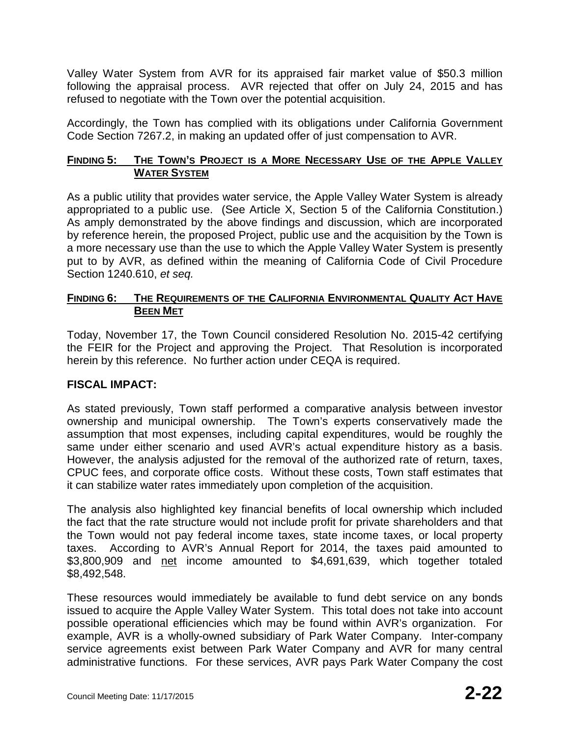Valley Water System from AVR for its appraised fair market value of \$50.3 million following the appraisal process. AVR rejected that offer on July 24, 2015 and has refused to negotiate with the Town over the potential acquisition.

Accordingly, the Town has complied with its obligations under California Government Code Section 7267.2, in making an updated offer of just compensation to AVR.

## **FINDING 5: THE TOWN'S PROJECT IS A MORE NECESSARY USE OF THE APPLE VALLEY WATER SYSTEM**

As a public utility that provides water service, the Apple Valley Water System is already appropriated to a public use. (See Article X, Section 5 of the California Constitution.) As amply demonstrated by the above findings and discussion, which are incorporated by reference herein, the proposed Project, public use and the acquisition by the Town is a more necessary use than the use to which the Apple Valley Water System is presently put to by AVR, as defined within the meaning of California Code of Civil Procedure Section 1240.610, *et seq.*

## **FINDING 6: THE REQUIREMENTS OF THE CALIFORNIA ENVIRONMENTAL QUALITY ACT HAVE BEEN MET**

Today, November 17, the Town Council considered Resolution No. 2015-42 certifying the FEIR for the Project and approving the Project. That Resolution is incorporated herein by this reference. No further action under CEQA is required.

## **FISCAL IMPACT:**

As stated previously, Town staff performed a comparative analysis between investor ownership and municipal ownership. The Town's experts conservatively made the assumption that most expenses, including capital expenditures, would be roughly the same under either scenario and used AVR's actual expenditure history as a basis. However, the analysis adjusted for the removal of the authorized rate of return, taxes, CPUC fees, and corporate office costs. Without these costs, Town staff estimates that it can stabilize water rates immediately upon completion of the acquisition.

The analysis also highlighted key financial benefits of local ownership which included the fact that the rate structure would not include profit for private shareholders and that the Town would not pay federal income taxes, state income taxes, or local property taxes. According to AVR's Annual Report for 2014, the taxes paid amounted to \$3,800,909 and net income amounted to \$4,691,639, which together totaled \$8,492,548.

These resources would immediately be available to fund debt service on any bonds issued to acquire the Apple Valley Water System. This total does not take into account possible operational efficiencies which may be found within AVR's organization. For example, AVR is a wholly-owned subsidiary of Park Water Company. Inter-company service agreements exist between Park Water Company and AVR for many central administrative functions. For these services, AVR pays Park Water Company the cost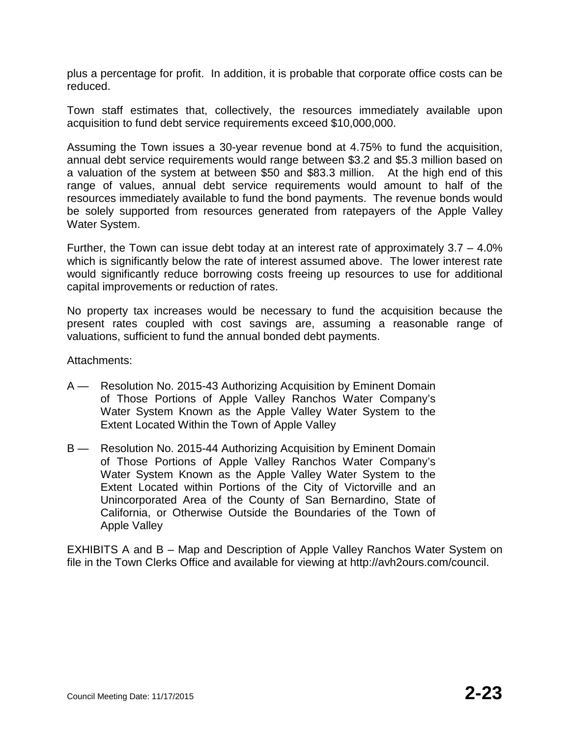plus a percentage for profit. In addition, it is probable that corporate office costs can be reduced.

Town staff estimates that, collectively, the resources immediately available upon acquisition to fund debt service requirements exceed \$10,000,000.

Assuming the Town issues a 30-year revenue bond at 4.75% to fund the acquisition, annual debt service requirements would range between \$3.2 and \$5.3 million based on a valuation of the system at between \$50 and \$83.3 million. At the high end of this range of values, annual debt service requirements would amount to half of the resources immediately available to fund the bond payments. The revenue bonds would be solely supported from resources generated from ratepayers of the Apple Valley Water System.

Further, the Town can issue debt today at an interest rate of approximately 3.7 – 4.0% which is significantly below the rate of interest assumed above. The lower interest rate would significantly reduce borrowing costs freeing up resources to use for additional capital improvements or reduction of rates.

No property tax increases would be necessary to fund the acquisition because the present rates coupled with cost savings are, assuming a reasonable range of valuations, sufficient to fund the annual bonded debt payments.

Attachments:

- A Resolution No. 2015-43 Authorizing Acquisition by Eminent Domain of Those Portions of Apple Valley Ranchos Water Company's Water System Known as the Apple Valley Water System to the Extent Located Within the Town of Apple Valley
- B Resolution No. 2015-44 Authorizing Acquisition by Eminent Domain of Those Portions of Apple Valley Ranchos Water Company's Water System Known as the Apple Valley Water System to the Extent Located within Portions of the City of Victorville and an Unincorporated Area of the County of San Bernardino, State of California, or Otherwise Outside the Boundaries of the Town of Apple Valley

EXHIBITS A and B – Map and Description of Apple Valley Ranchos Water System on file in the Town Clerks Office and available for viewing at http://avh2ours.com/council.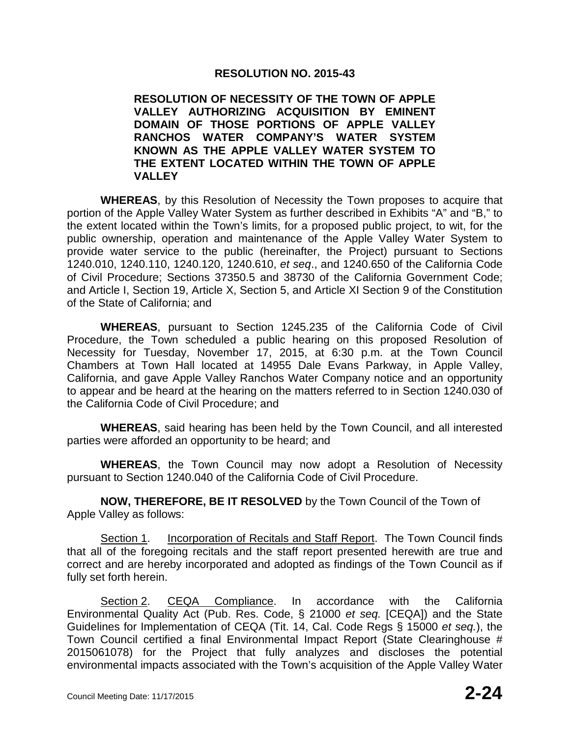#### **RESOLUTION NO. 2015-43**

#### **RESOLUTION OF NECESSITY OF THE TOWN OF APPLE VALLEY AUTHORIZING ACQUISITION BY EMINENT DOMAIN OF THOSE PORTIONS OF APPLE VALLEY RANCHOS WATER COMPANY'S WATER SYSTEM KNOWN AS THE APPLE VALLEY WATER SYSTEM TO THE EXTENT LOCATED WITHIN THE TOWN OF APPLE VALLEY**

**WHEREAS**, by this Resolution of Necessity the Town proposes to acquire that portion of the Apple Valley Water System as further described in Exhibits "A" and "B," to the extent located within the Town's limits, for a proposed public project, to wit, for the public ownership, operation and maintenance of the Apple Valley Water System to provide water service to the public (hereinafter, the Project) pursuant to Sections 1240.010, 1240.110, 1240.120, 1240.610, *et seq*., and 1240.650 of the California Code of Civil Procedure; Sections 37350.5 and 38730 of the California Government Code; and Article I, Section 19, Article X, Section 5, and Article XI Section 9 of the Constitution of the State of California; and

**WHEREAS**, pursuant to Section 1245.235 of the California Code of Civil Procedure, the Town scheduled a public hearing on this proposed Resolution of Necessity for Tuesday, November 17, 2015, at 6:30 p.m. at the Town Council Chambers at Town Hall located at 14955 Dale Evans Parkway, in Apple Valley, California, and gave Apple Valley Ranchos Water Company notice and an opportunity to appear and be heard at the hearing on the matters referred to in Section 1240.030 of the California Code of Civil Procedure; and

**WHEREAS**, said hearing has been held by the Town Council, and all interested parties were afforded an opportunity to be heard; and

**WHEREAS**, the Town Council may now adopt a Resolution of Necessity pursuant to Section 1240.040 of the California Code of Civil Procedure.

**NOW, THEREFORE, BE IT RESOLVED** by the Town Council of the Town of Apple Valley as follows:

Section 1. Incorporation of Recitals and Staff Report. The Town Council finds that all of the foregoing recitals and the staff report presented herewith are true and correct and are hereby incorporated and adopted as findings of the Town Council as if fully set forth herein.

Section 2. CEQA Compliance. In accordance with the California Environmental Quality Act (Pub. Res. Code, § 21000 *et seq.* [CEQA]) and the State Guidelines for Implementation of CEQA (Tit. 14, Cal. Code Regs § 15000 *et seq.*), the Town Council certified a final Environmental Impact Report (State Clearinghouse # 2015061078) for the Project that fully analyzes and discloses the potential environmental impacts associated with the Town's acquisition of the Apple Valley Water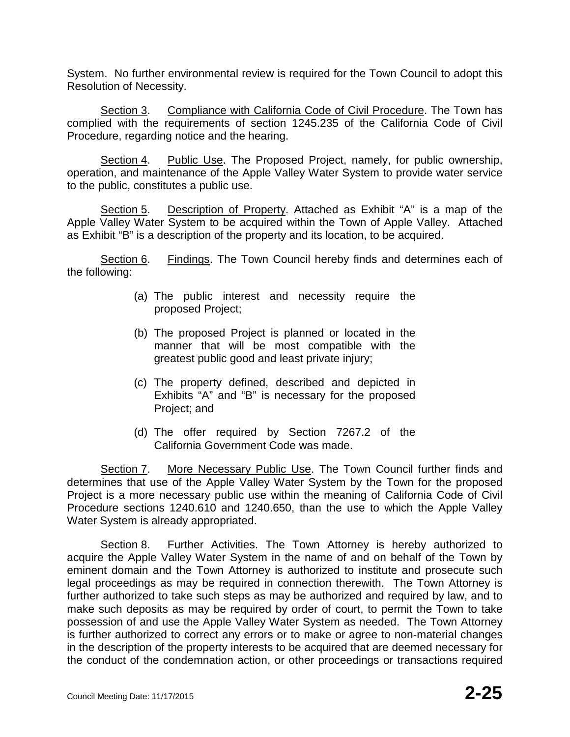System. No further environmental review is required for the Town Council to adopt this Resolution of Necessity.

Section 3. Compliance with California Code of Civil Procedure. The Town has complied with the requirements of section 1245.235 of the California Code of Civil Procedure, regarding notice and the hearing.

Section 4. Public Use. The Proposed Project, namely, for public ownership, operation, and maintenance of the Apple Valley Water System to provide water service to the public, constitutes a public use.

Section 5. Description of Property. Attached as Exhibit "A" is a map of the Apple Valley Water System to be acquired within the Town of Apple Valley. Attached as Exhibit "B" is a description of the property and its location, to be acquired.

Section 6. Findings. The Town Council hereby finds and determines each of the following:

- (a) The public interest and necessity require the proposed Project;
- (b) The proposed Project is planned or located in the manner that will be most compatible with the greatest public good and least private injury;
- (c) The property defined, described and depicted in Exhibits "A" and "B" is necessary for the proposed Project; and
- (d) The offer required by Section 7267.2 of the California Government Code was made.

Section 7. More Necessary Public Use. The Town Council further finds and determines that use of the Apple Valley Water System by the Town for the proposed Project is a more necessary public use within the meaning of California Code of Civil Procedure sections 1240.610 and 1240.650, than the use to which the Apple Valley Water System is already appropriated.

Section 8. Further Activities. The Town Attorney is hereby authorized to acquire the Apple Valley Water System in the name of and on behalf of the Town by eminent domain and the Town Attorney is authorized to institute and prosecute such legal proceedings as may be required in connection therewith. The Town Attorney is further authorized to take such steps as may be authorized and required by law, and to make such deposits as may be required by order of court, to permit the Town to take possession of and use the Apple Valley Water System as needed. The Town Attorney is further authorized to correct any errors or to make or agree to non-material changes in the description of the property interests to be acquired that are deemed necessary for the conduct of the condemnation action, or other proceedings or transactions required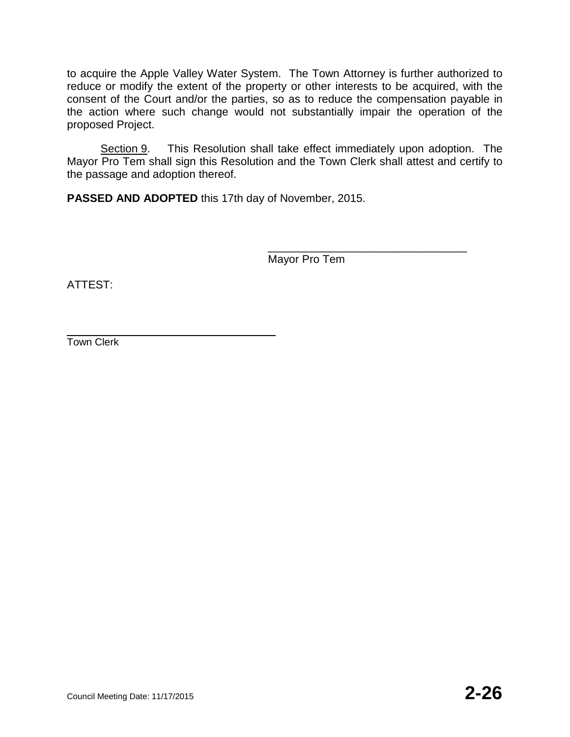to acquire the Apple Valley Water System. The Town Attorney is further authorized to reduce or modify the extent of the property or other interests to be acquired, with the consent of the Court and/or the parties, so as to reduce the compensation payable in the action where such change would not substantially impair the operation of the proposed Project.

Section 9. This Resolution shall take effect immediately upon adoption. The Mayor Pro Tem shall sign this Resolution and the Town Clerk shall attest and certify to the passage and adoption thereof.

**PASSED AND ADOPTED** this 17th day of November, 2015.

\_\_\_\_\_\_\_\_\_\_\_\_\_\_\_\_\_\_\_\_\_\_\_\_\_\_\_\_\_\_\_\_ Mayor Pro Tem

ATTEST:

Town Clerk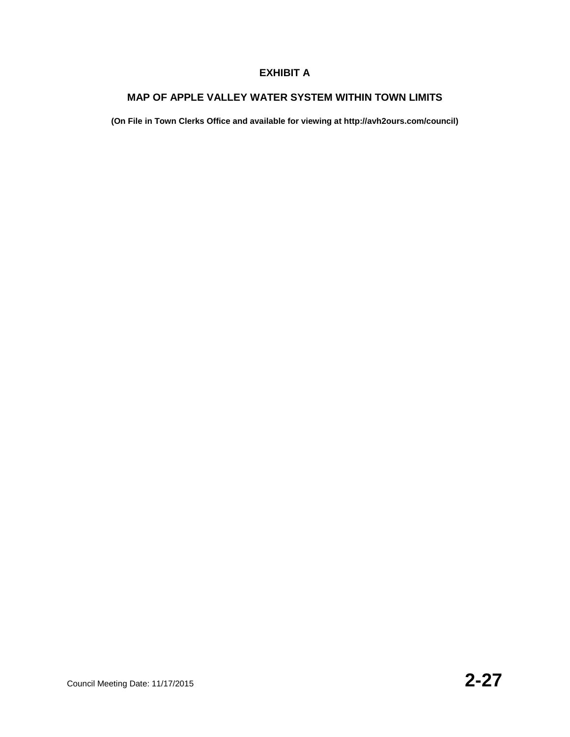### **EXHIBIT A**

#### **MAP OF APPLE VALLEY WATER SYSTEM WITHIN TOWN LIMITS**

**(On File in Town Clerks Office and available for viewing at http://avh2ours.com/council)**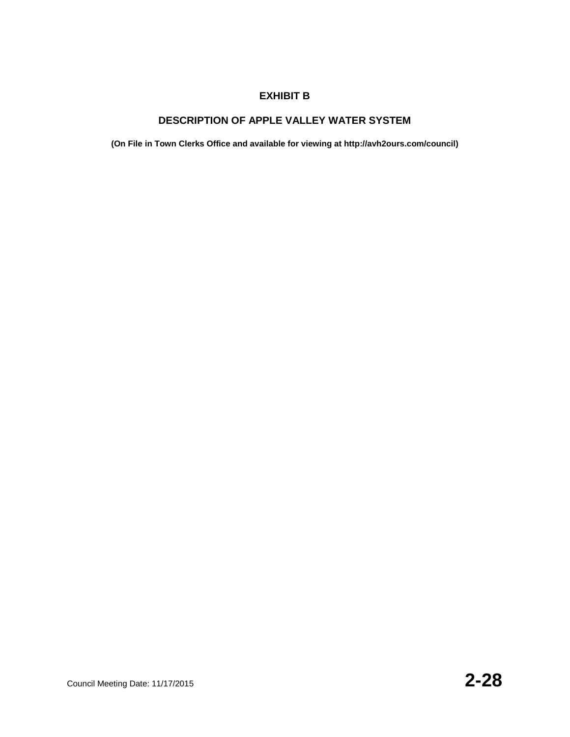#### **EXHIBIT B**

## **DESCRIPTION OF APPLE VALLEY WATER SYSTEM**

**(On File in Town Clerks Office and available for viewing at http://avh2ours.com/council)**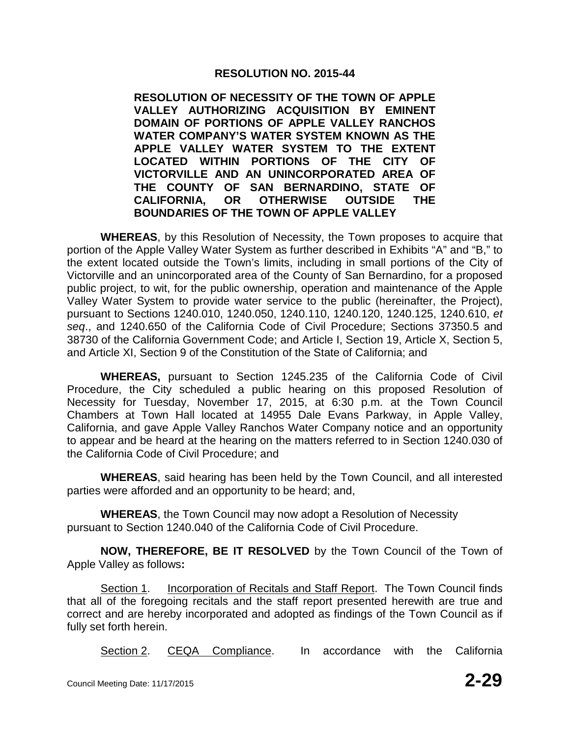### **RESOLUTION NO. 2015-44**

**RESOLUTION OF NECESSITY OF THE TOWN OF APPLE VALLEY AUTHORIZING ACQUISITION BY EMINENT DOMAIN OF PORTIONS OF APPLE VALLEY RANCHOS WATER COMPANY'S WATER SYSTEM KNOWN AS THE APPLE VALLEY WATER SYSTEM TO THE EXTENT LOCATED WITHIN PORTIONS OF THE CITY OF VICTORVILLE AND AN UNINCORPORATED AREA OF THE COUNTY OF SAN BERNARDINO, STATE OF CALIFORNIA, OR OTHERWISE OUTSIDE THE BOUNDARIES OF THE TOWN OF APPLE VALLEY**

**WHEREAS**, by this Resolution of Necessity, the Town proposes to acquire that portion of the Apple Valley Water System as further described in Exhibits "A" and "B," to the extent located outside the Town's limits, including in small portions of the City of Victorville and an unincorporated area of the County of San Bernardino, for a proposed public project, to wit, for the public ownership, operation and maintenance of the Apple Valley Water System to provide water service to the public (hereinafter, the Project), pursuant to Sections 1240.010, 1240.050, 1240.110, 1240.120, 1240.125, 1240.610, *et seq*., and 1240.650 of the California Code of Civil Procedure; Sections 37350.5 and 38730 of the California Government Code; and Article I, Section 19, Article X, Section 5, and Article XI, Section 9 of the Constitution of the State of California; and

**WHEREAS,** pursuant to Section 1245.235 of the California Code of Civil Procedure, the City scheduled a public hearing on this proposed Resolution of Necessity for Tuesday, November 17, 2015, at 6:30 p.m. at the Town Council Chambers at Town Hall located at 14955 Dale Evans Parkway, in Apple Valley, California, and gave Apple Valley Ranchos Water Company notice and an opportunity to appear and be heard at the hearing on the matters referred to in Section 1240.030 of the California Code of Civil Procedure; and

**WHEREAS**, said hearing has been held by the Town Council, and all interested parties were afforded and an opportunity to be heard; and,

**WHEREAS**, the Town Council may now adopt a Resolution of Necessity pursuant to Section 1240.040 of the California Code of Civil Procedure.

**NOW, THEREFORE, BE IT RESOLVED** by the Town Council of the Town of Apple Valley as follows**:**

Section 1. Incorporation of Recitals and Staff Report. The Town Council finds that all of the foregoing recitals and the staff report presented herewith are true and correct and are hereby incorporated and adopted as findings of the Town Council as if fully set forth herein.

Section 2. CEQA Compliance. In accordance with the California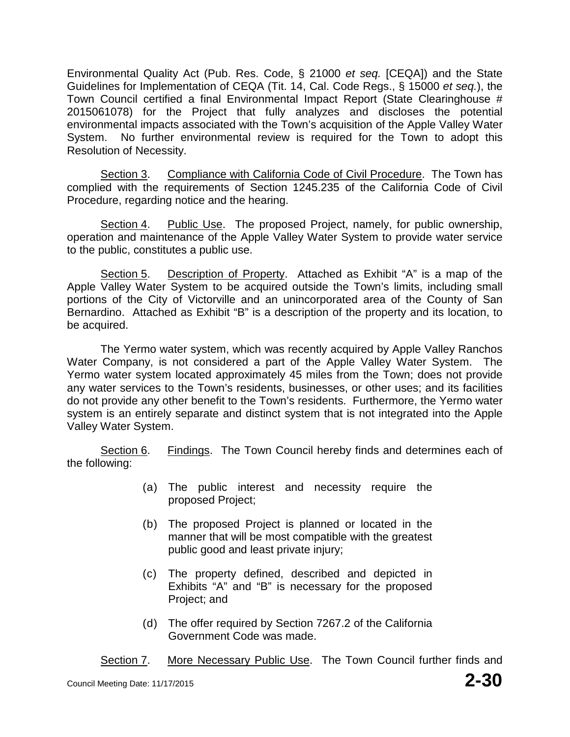Environmental Quality Act (Pub. Res. Code, § 21000 *et seq.* [CEQA]) and the State Guidelines for Implementation of CEQA (Tit. 14, Cal. Code Regs., § 15000 *et seq.*), the Town Council certified a final Environmental Impact Report (State Clearinghouse # 2015061078) for the Project that fully analyzes and discloses the potential environmental impacts associated with the Town's acquisition of the Apple Valley Water System. No further environmental review is required for the Town to adopt this Resolution of Necessity.

Section 3. Compliance with California Code of Civil Procedure. The Town has complied with the requirements of Section 1245.235 of the California Code of Civil Procedure, regarding notice and the hearing.

Section 4. Public Use. The proposed Project, namely, for public ownership, operation and maintenance of the Apple Valley Water System to provide water service to the public, constitutes a public use.

Section 5. Description of Property. Attached as Exhibit "A" is a map of the Apple Valley Water System to be acquired outside the Town's limits, including small portions of the City of Victorville and an unincorporated area of the County of San Bernardino. Attached as Exhibit "B" is a description of the property and its location, to be acquired.

The Yermo water system, which was recently acquired by Apple Valley Ranchos Water Company, is not considered a part of the Apple Valley Water System. The Yermo water system located approximately 45 miles from the Town; does not provide any water services to the Town's residents, businesses, or other uses; and its facilities do not provide any other benefit to the Town's residents. Furthermore, the Yermo water system is an entirely separate and distinct system that is not integrated into the Apple Valley Water System.

Section 6. Findings.The Town Council hereby finds and determines each of the following:

- (a) The public interest and necessity require the proposed Project;
- (b) The proposed Project is planned or located in the manner that will be most compatible with the greatest public good and least private injury;
- (c) The property defined, described and depicted in Exhibits "A" and "B" is necessary for the proposed Project; and
- (d) The offer required by Section 7267.2 of the California Government Code was made.

Section 7. More Necessary Public Use. The Town Council further finds and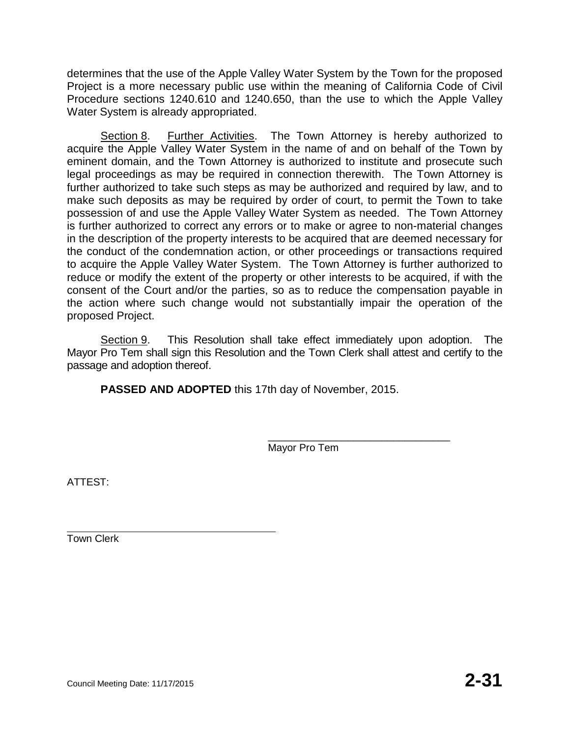determines that the use of the Apple Valley Water System by the Town for the proposed Project is a more necessary public use within the meaning of California Code of Civil Procedure sections 1240.610 and 1240.650, than the use to which the Apple Valley Water System is already appropriated.

Section 8. Further Activities. The Town Attorney is hereby authorized to acquire the Apple Valley Water System in the name of and on behalf of the Town by eminent domain, and the Town Attorney is authorized to institute and prosecute such legal proceedings as may be required in connection therewith. The Town Attorney is further authorized to take such steps as may be authorized and required by law, and to make such deposits as may be required by order of court, to permit the Town to take possession of and use the Apple Valley Water System as needed. The Town Attorney is further authorized to correct any errors or to make or agree to non-material changes in the description of the property interests to be acquired that are deemed necessary for the conduct of the condemnation action, or other proceedings or transactions required to acquire the Apple Valley Water System. The Town Attorney is further authorized to reduce or modify the extent of the property or other interests to be acquired, if with the consent of the Court and/or the parties, so as to reduce the compensation payable in the action where such change would not substantially impair the operation of the proposed Project.

Section 9. This Resolution shall take effect immediately upon adoption. The Mayor Pro Tem shall sign this Resolution and the Town Clerk shall attest and certify to the passage and adoption thereof.

**PASSED AND ADOPTED** this 17th day of November, 2015.

\_\_\_\_\_\_\_\_\_\_\_\_\_\_\_\_\_\_\_\_\_\_\_\_\_\_\_\_\_\_\_\_ Mayor Pro Tem

ATTEST:

Town Clerk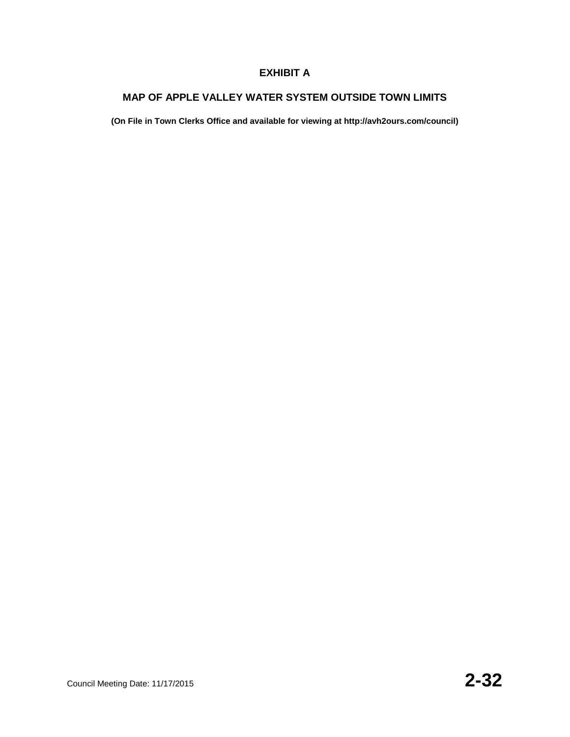### **EXHIBIT A**

#### **MAP OF APPLE VALLEY WATER SYSTEM OUTSIDE TOWN LIMITS**

**(On File in Town Clerks Office and available for viewing at http://avh2ours.com/council)**